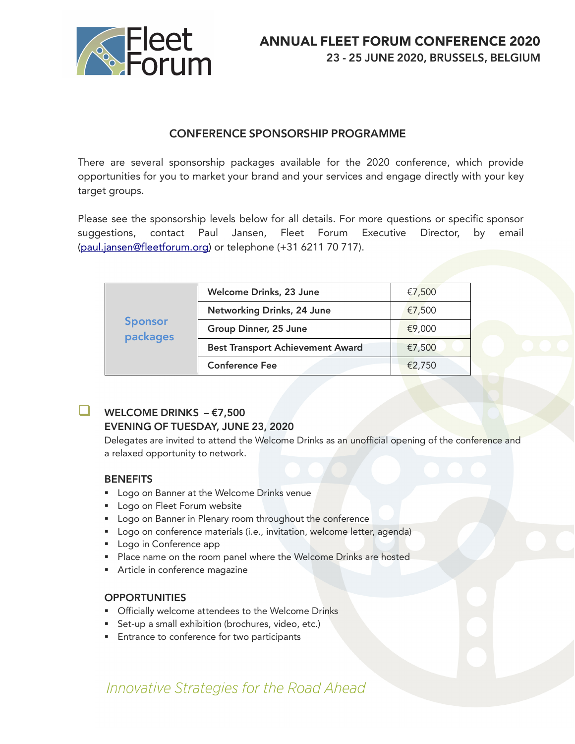

## CONFERENCE SPONSORSHIP PROGRAMME

There are several sponsorship packages available for the 2020 conference, which provide opportunities for you to market your brand and your services and engage directly with your key target groups.

Please see the sponsorship levels below for all details. For more questions or specific sponsor suggestions, contact Paul Jansen, Fleet Forum Executive Director, by email (paul.jansen@fleetforum.org) or telephone (+31 6211 70 717).

| <b>Sponsor</b><br>packages | Welcome Drinks, 23 June                 | €7,500 |
|----------------------------|-----------------------------------------|--------|
|                            | Networking Drinks, 24 June              | €7,500 |
|                            | Group Dinner, 25 June                   | €9,000 |
|                            | <b>Best Transport Achievement Award</b> | €7,500 |
|                            | <b>Conference Fee</b>                   | €2,750 |

## **WELCOME DRINKS –**  $\epsilon$ **7,500** EVENING OF TUESDAY, JUNE 23, 2020

Delegates are invited to attend the Welcome Drinks as an unofficial opening of the conference and a relaxed opportunity to network.

### **BENEFITS**

- Logo on Banner at the Welcome Drinks venue
- Logo on Fleet Forum website
- Logo on Banner in Plenary room throughout the conference
- Logo on conference materials (i.e., invitation, welcome letter, agenda)
- Logo in Conference app
- Place name on the room panel where the Welcome Drinks are hosted
- **•** Article in conference magazine

#### **OPPORTUNITIES**

- Officially welcome attendees to the Welcome Drinks
- Set-up a small exhibition (brochures, video, etc.)
- Entrance to conference for two participants

# Innovative Strategies for the Road Ahead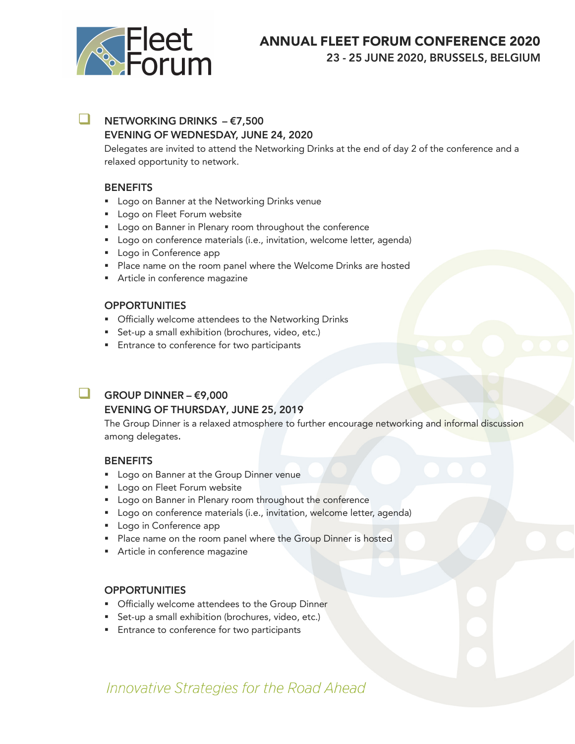

# ANNUAL FLEET FORUM CONFERENCE 2020

23 - 25 JUNE 2020, BRUSSELS, BELGIUM

## **NETWORKING DRINKS –**  $\epsilon$ **7,500** EVENING OF WEDNESDAY, JUNE 24, 2020

Delegates are invited to attend the Networking Drinks at the end of day 2 of the conference and a relaxed opportunity to network.

### **BENEFITS**

- Logo on Banner at the Networking Drinks venue
- Logo on Fleet Forum website
- Logo on Banner in Plenary room throughout the conference
- Logo on conference materials (i.e., invitation, welcome letter, agenda)
- Logo in Conference app
- Place name on the room panel where the Welcome Drinks are hosted
- **•** Article in conference magazine

#### **OPPORTUNITIES**

- **Officially welcome attendees to the Networking Drinks**
- Set-up a small exhibition (brochures, video, etc.)
- Entrance to conference for two participants

## GROUP DINNER –  $\epsilon$ 9,000

### EVENING OF THURSDAY, JUNE 25, 2019

The Group Dinner is a relaxed atmosphere to further encourage networking and informal discussion among delegates.

#### **BENEFITS**

- Logo on Banner at the Group Dinner venue
- Logo on Fleet Forum website
- Logo on Banner in Plenary room throughout the conference
- Logo on conference materials (i.e., invitation, welcome letter, agenda)
- Logo in Conference app
- Place name on the room panel where the Group Dinner is hosted
- **•** Article in conference magazine

#### **OPPORTUNITIES**

- **Officially welcome attendees to the Group Dinner**
- Set-up a small exhibition (brochures, video, etc.)
- Entrance to conference for two participants

# Innovative Strategies for the Road Ahead